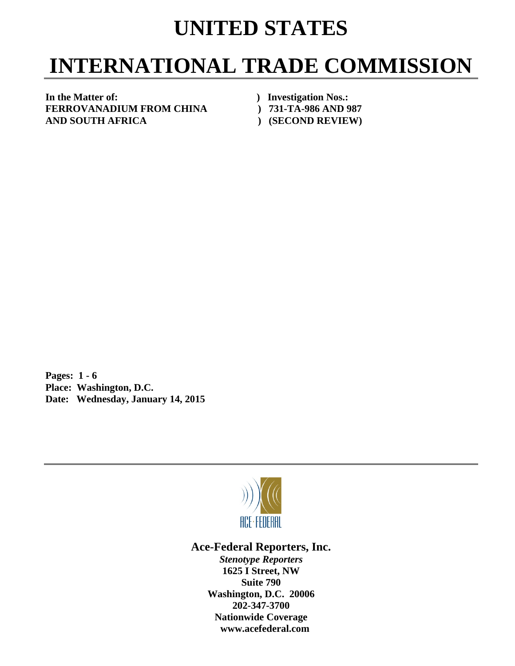## **UNITED STATES**

## **INTERNATIONAL TRADE COMMISSION**

**In the Matter of: ) Investigation Nos.: FERROVANADIUM FROM CHINA ) 731-TA-986 AND 987 AND SOUTH AFRICA ) (SECOND REVIEW)** 

**Pages: 1 - 6 Place: Washington, D.C. Date: Wednesday, January 14, 2015** 



**Ace-Federal Reporters, Inc.** 

*Stenotype Reporters*  **1625 I Street, NW Suite 790 Washington, D.C. 20006 202-347-3700 Nationwide Coverage www.acefederal.com**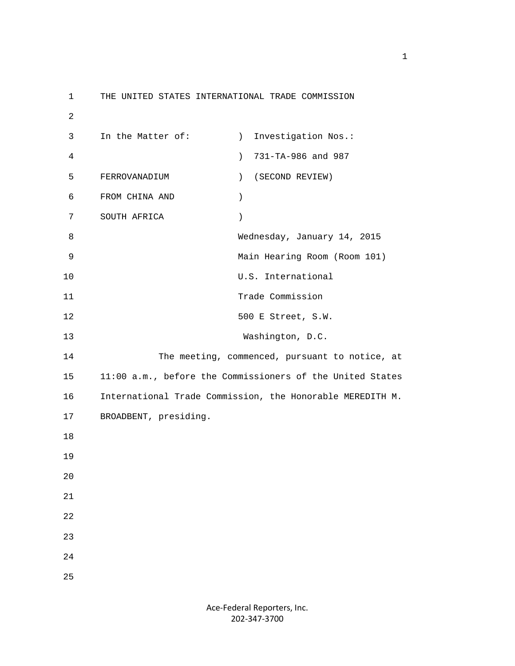1 THE UNITED STATES INTERNATIONAL TRADE COMMISSION 2 3 In the Matter of: (a) Investigation Nos.: 4 ) 731-TA-986 and 987 5 FERROVANADIUM ) (SECOND REVIEW) 6 FROM CHINA AND ) 7 SOUTH AFRICA ) 8 Wednesday, January 14, 2015 9 Main Hearing Room (Room 101) 10 U.S. International 11 Trade Commission 12 500 E Street, S.W. 13 Washington, D.C. 14 The meeting, commenced, pursuant to notice, at 15 11:00 a.m., before the Commissioners of the United States 16 International Trade Commission, the Honorable MEREDITH M. 17 BROADBENT, presiding. 18 19 20 21 22 23 24 25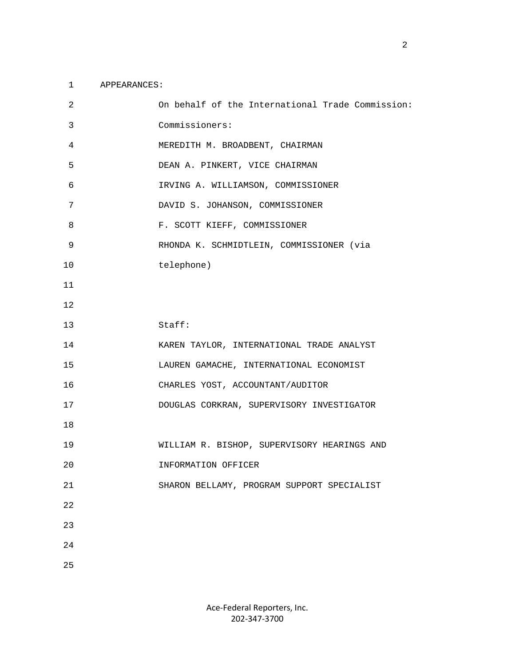## 1 APPEARANCES:

| $\overline{2}$ | On behalf of the International Trade Commission: |
|----------------|--------------------------------------------------|
| 3              | Commissioners:                                   |
| 4              | MEREDITH M. BROADBENT, CHAIRMAN                  |
| 5              | DEAN A. PINKERT, VICE CHAIRMAN                   |
| 6              | IRVING A. WILLIAMSON, COMMISSIONER               |
| 7              | DAVID S. JOHANSON, COMMISSIONER                  |
| 8              | F. SCOTT KIEFF, COMMISSIONER                     |
| 9              | RHONDA K. SCHMIDTLEIN, COMMISSIONER (via         |
| 10             | telephone)                                       |
| 11             |                                                  |
| 12             |                                                  |
| 13             | Staff:                                           |
| 14             | KAREN TAYLOR, INTERNATIONAL TRADE ANALYST        |
| 15             | LAUREN GAMACHE, INTERNATIONAL ECONOMIST          |
| 16             | CHARLES YOST, ACCOUNTANT/AUDITOR                 |
| 17             | DOUGLAS CORKRAN, SUPERVISORY INVESTIGATOR        |
| 18             |                                                  |
| 19             | WILLIAM R. BISHOP, SUPERVISORY HEARINGS AND      |
| 20             | INFORMATION OFFICER                              |
| $2\sqrt{1}$    | SHARON BELLAMY, PROGRAM SUPPORT SPECIALIST       |
| 22             |                                                  |
| 23             |                                                  |
| 24             |                                                  |
| 25             |                                                  |

Ace‐Federal Reporters, Inc. 202‐347‐3700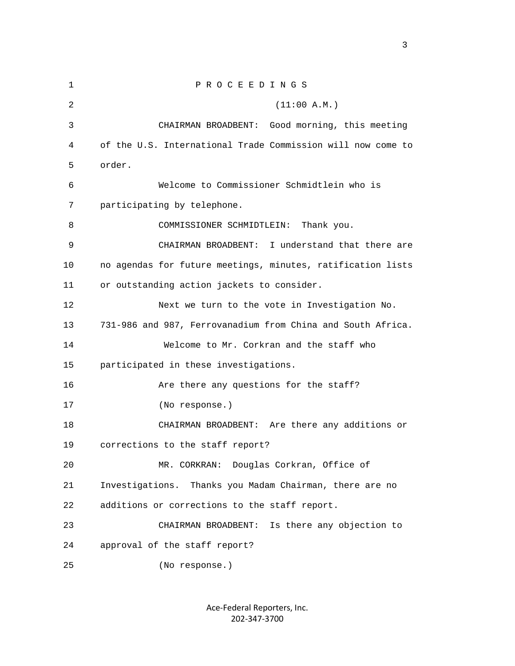1 P R O C E E D I N G S  $2$  (11:00 A.M.) 3 CHAIRMAN BROADBENT: Good morning, this meeting 4 of the U.S. International Trade Commission will now come to 5 order. 6 Welcome to Commissioner Schmidtlein who is 7 participating by telephone. 8 COMMISSIONER SCHMIDTLEIN: Thank you. 9 CHAIRMAN BROADBENT: I understand that there are 10 no agendas for future meetings, minutes, ratification lists 11 or outstanding action jackets to consider. 12 Next we turn to the vote in Investigation No. 13 731-986 and 987, Ferrovanadium from China and South Africa. 14 Welcome to Mr. Corkran and the staff who 15 participated in these investigations. 16 Are there any questions for the staff? 17 (No response.) 18 CHAIRMAN BROADBENT: Are there any additions or 19 corrections to the staff report? 20 MR. CORKRAN: Douglas Corkran, Office of 21 Investigations. Thanks you Madam Chairman, there are no 22 additions or corrections to the staff report. 23 CHAIRMAN BROADBENT: Is there any objection to 24 approval of the staff report? 25 (No response.)

> Ace‐Federal Reporters, Inc. 202‐347‐3700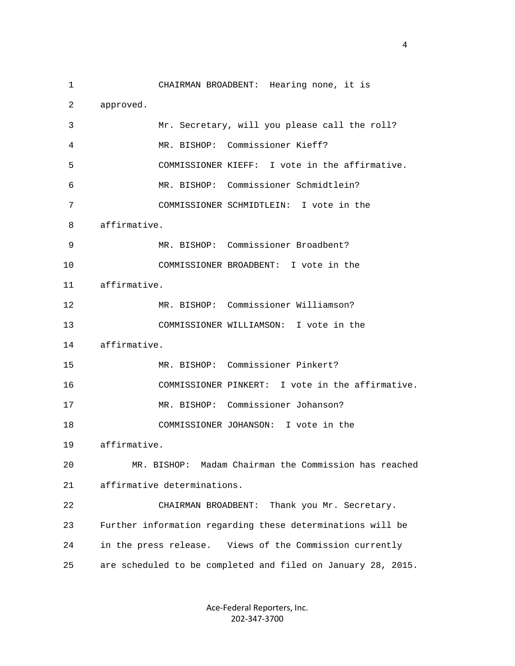1 CHAIRMAN BROADBENT: Hearing none, it is 2 approved. 3 Mr. Secretary, will you please call the roll? 4 MR. BISHOP: Commissioner Kieff? 5 COMMISSIONER KIEFF: I vote in the affirmative. 6 MR. BISHOP: Commissioner Schmidtlein? 7 COMMISSIONER SCHMIDTLEIN: I vote in the 8 affirmative. 9 MR. BISHOP: Commissioner Broadbent? 10 COMMISSIONER BROADBENT: I vote in the 11 affirmative. 12 MR. BISHOP: Commissioner Williamson? 13 COMMISSIONER WILLIAMSON: I vote in the 14 affirmative. 15 MR. BISHOP: Commissioner Pinkert? 16 COMMISSIONER PINKERT: I vote in the affirmative. 17 MR. BISHOP: Commissioner Johanson? 18 COMMISSIONER JOHANSON: I vote in the 19 affirmative. 20 MR. BISHOP: Madam Chairman the Commission has reached 21 affirmative determinations. 22 CHAIRMAN BROADBENT: Thank you Mr. Secretary. 23 Further information regarding these determinations will be 24 in the press release. Views of the Commission currently 25 are scheduled to be completed and filed on January 28, 2015.

4

Ace‐Federal Reporters, Inc. 202‐347‐3700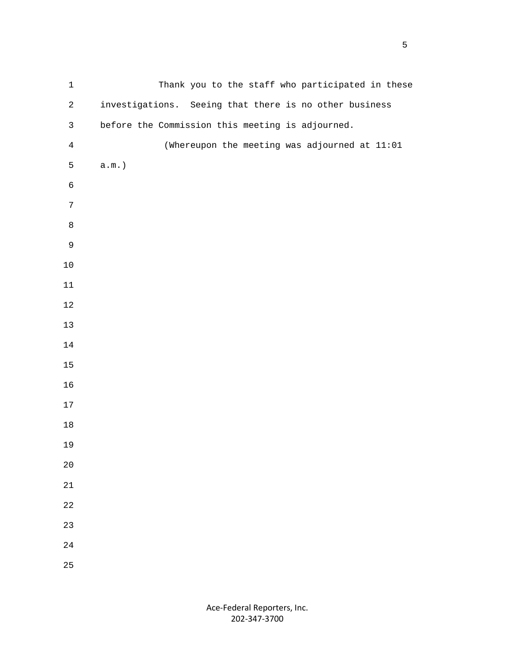| $\mathbf 1$    | Thank you to the staff who participated in these       |
|----------------|--------------------------------------------------------|
| $\overline{a}$ | investigations. Seeing that there is no other business |
| $\mathsf{3}$   | before the Commission this meeting is adjourned.       |
| $\overline{4}$ | (Whereupon the meeting was adjourned at 11:01          |
| 5              | $a.m.$ )                                               |
| $\epsilon$     |                                                        |
| $\overline{7}$ |                                                        |
| $\,8\,$        |                                                        |
| $\mathsf 9$    |                                                        |
| $10\,$         |                                                        |
| $11\,$         |                                                        |
| $12\,$         |                                                        |
| $13$           |                                                        |
| $1\,4$         |                                                        |
| $15\,$         |                                                        |
| 16             |                                                        |
| $17\,$         |                                                        |
| $18\,$         |                                                        |
| 19             |                                                        |
| $20$           |                                                        |
| $2\sqrt{1}$    |                                                        |
| 22             |                                                        |
| 23             |                                                        |
| 24             |                                                        |
| 25             |                                                        |